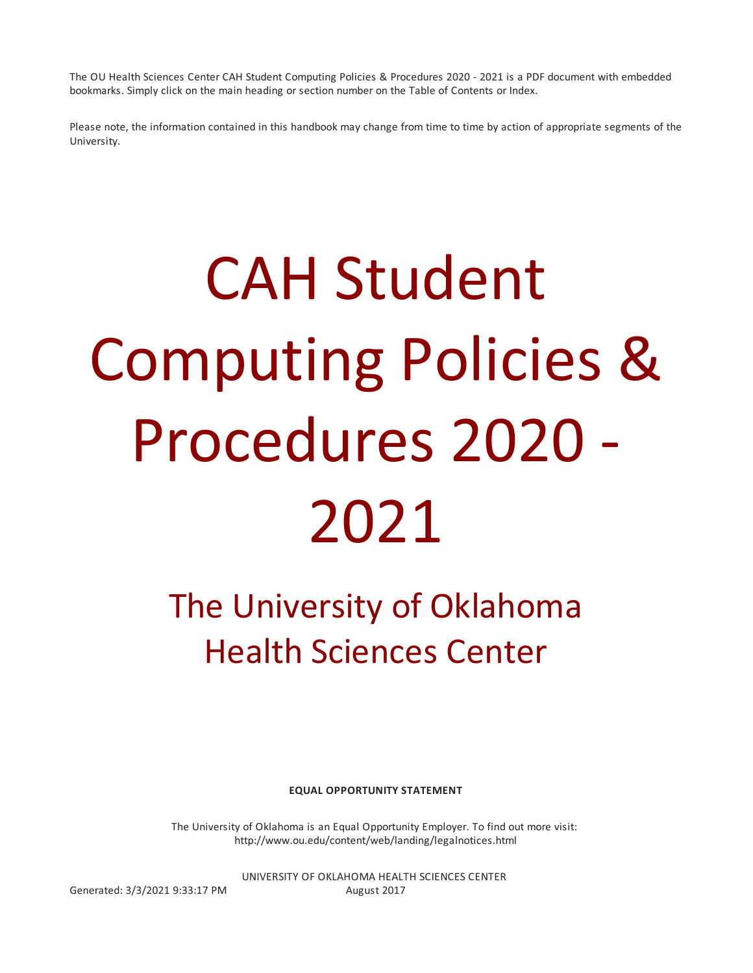The OU Health Sciences Center CAH Student Computing Policies & Procedures 2020 - 2021 is a PDF document with embedded bookmarks. Simply click on the main heading or section number on the Table of Contents or Index.

Please note, the information contained in this handbook may change from time to time by action of appropriate segments of the University.

# CAH Student Computing Policies & Procedures 2020 - 2021

The University of Oklahoma Health Sciences Center

**EQUAL OPPORTUNITY STATEMENT**

The University of Oklahoma is an Equal Opportunity Employer. To find out more visit: http://www.ou.edu/content/web/landing/legalnotices.html

UNIVERSITY OF OKLAHOMA HEALTH SCIENCES CENTER Generated: 3/3/2021 9:33:17 PM August 2017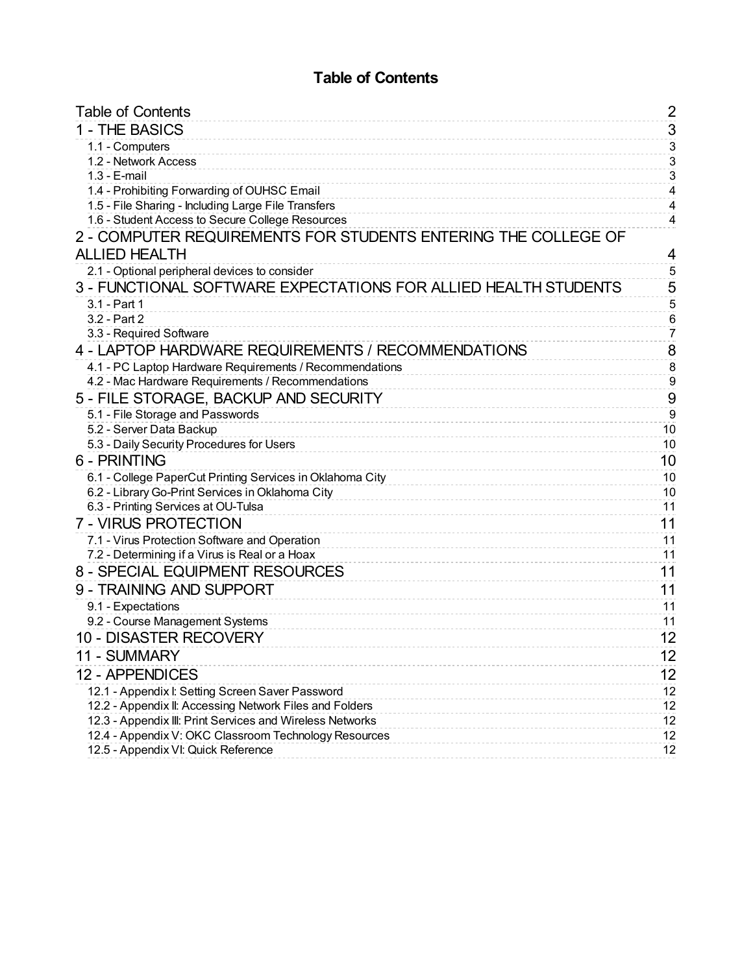## **Table of Contents**

| <b>Table of Contents</b>                                        | $\overline{\mathbf{c}}$ |
|-----------------------------------------------------------------|-------------------------|
| 1 - THE BASICS                                                  | $\overline{3}$          |
| 1.1 - Computers                                                 | $\overline{3}$          |
| 1.2 - Network Access                                            | $\overline{3}$          |
| $1.3 - E$ -mail                                                 | $\overline{3}$          |
| 1.4 - Prohibiting Forwarding of OUHSC Email                     | $\overline{\mathbf{4}}$ |
| 1.5 - File Sharing - Including Large File Transfers             | $\overline{\mathbf{4}}$ |
| 1.6 - Student Access to Secure College Resources                | 4                       |
| 2 - COMPUTER REQUIREMENTS FOR STUDENTS ENTERING THE COLLEGE OF  |                         |
| <b>ALLIED HEALTH</b>                                            | 4                       |
| 2.1 - Optional peripheral devices to consider                   | $\overline{5}$          |
| 3 - FUNCTIONAL SOFTWARE EXPECTATIONS FOR ALLIED HEALTH STUDENTS | 5                       |
| 3.1 - Part 1                                                    | $\overline{5}$          |
| 3.2 - Part 2                                                    | $\,6$                   |
| 3.3 - Required Software                                         | $\overline{7}$          |
| 4 - LAPTOP HARDWARE REQUIREMENTS / RECOMMENDATIONS              | 8                       |
| 4.1 - PC Laptop Hardware Requirements / Recommendations         | 8                       |
| 4.2 - Mac Hardware Requirements / Recommendations               | $\overline{9}$          |
| 5 - FILE STORAGE, BACKUP AND SECURITY                           | 9                       |
| 5.1 - File Storage and Passwords                                | $\overline{9}$          |
| 5.2 - Server Data Backup                                        | 10                      |
| 5.3 - Daily Security Procedures for Users                       | 10                      |
| 6 - PRINTING                                                    | 10                      |
| 6.1 - College PaperCut Printing Services in Oklahoma City       | 10                      |
| 6.2 - Library Go-Print Services in Oklahoma City                | 10                      |
| 6.3 - Printing Services at OU-Tulsa                             | 11                      |
| 7 - VIRUS PROTECTION                                            | 11                      |
| 7.1 - Virus Protection Software and Operation                   | 11                      |
| 7.2 - Determining if a Virus is Real or a Hoax                  | 11                      |
| 8 - SPECIAL EQUIPMENT RESOURCES                                 | 11                      |
| 9 - TRAINING AND SUPPORT                                        | 11                      |
| 9.1 - Expectations                                              | 11                      |
| 9.2 - Course Management Systems                                 | 11                      |
| <b>10 - DISASTER RECOVERY</b>                                   | 12                      |
| 11 - SUMMARY                                                    | 12                      |
| 12 - APPENDICES                                                 | 12                      |
| 12.1 - Appendix I: Setting Screen Saver Password                | 12                      |
| 12.2 - Appendix II: Accessing Network Files and Folders         | 12                      |
| 12.3 - Appendix III: Print Services and Wireless Networks       | 12                      |
| 12.4 - Appendix V: OKC Classroom Technology Resources           | 12                      |
| 12.5 - Appendix VI: Quick Reference                             | 12                      |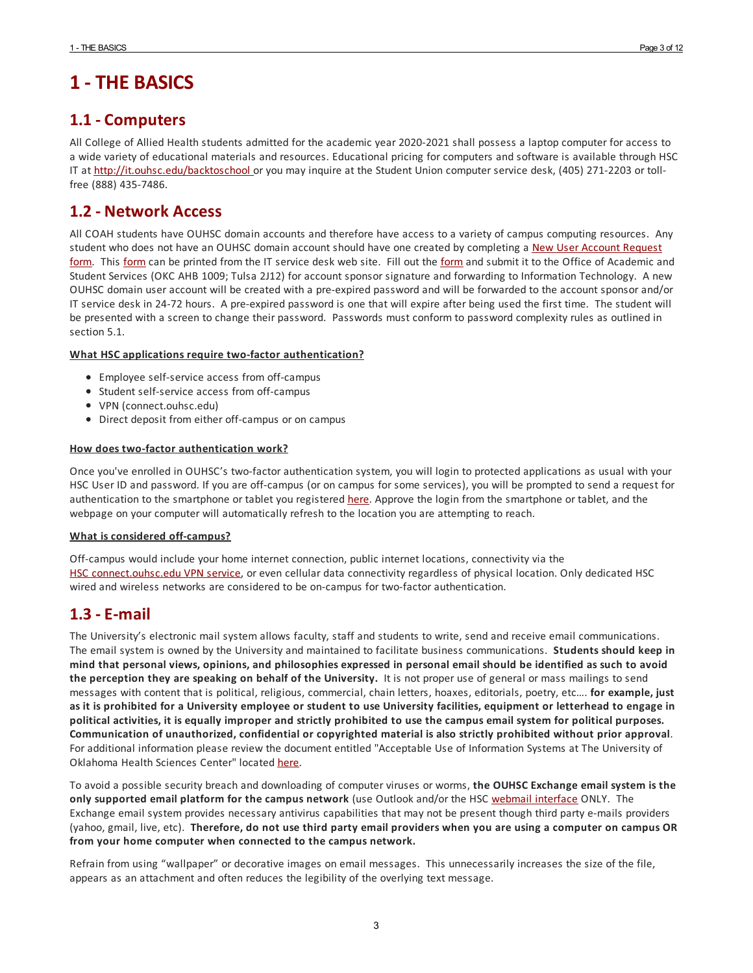# **1 - THE BASICS**

## **1.1 - Computers**

All College of Allied Health students admitted for the academic year 2020-2021 shall possess a laptop computer foraccess to a wide variety of educational materials and resources. Educational pricing for computers and software is available through HSC IT at http://it.ouhsc.edu/backtoschool or you may inquire at the Student Union computer service desk, (405) 271-2203 or tollfree (888) 435-7486.

## **1.2 - Network Access**

All COAH students have OUHSC domain accounts and therefore have access to a variety of campus computing resources. Any student who does not have an OUHSC domain account should have one created by completing a New User Account Request form. This form can be printed from the IT service desk web site. Fill out the form and submit it to the Office of Academic and Student Services (OKC AHB 1009; Tulsa 2J12) foraccount sponsor signature and forwarding to Information Technology. A new OUHSC domain useraccount will be created with a pre-expired password and will be forwarded to the account sponsorand/or IT service desk in 24-72 hours. A pre-expired password is one that will expire after being used the first time. The student will be presented with a screen to change their password. Passwords must conform to password complexity rules as outlined in section 5.1.

#### **What HSC applications require two-factor authentication?**

- Employee self-service access from off-campus
- Student self-service access from off-campus
- VPN (connect.ouhsc.edu)
- Direct deposit from either off-campus or on campus

#### **How does two-factor authentication work?**

Once you've enrolled in OUHSC's two-factor authentication system, you will login to protected applications as usual with your HSC User ID and password. If you are off-campus (or on campus for some services), you will be prompted to send a request for authentication to the smartphone or tablet you registered here. Approve the login from the smartphone or tablet, and the webpage on your computer will automatically refresh to the location you are attempting to reach.

#### **What is considered off-campus?**

Off-campus would include your home internet connection, public internet locations, connectivity via the HSC connect.ouhsc.edu VPN service, or even cellular data connectivity regardless of physical location. Only dedicated HSC wired and wireless networks are considered to be on-campus for two-factorauthentication.

## **1.3 -E-mail**

The University's electronic mail system allows faculty, staff and students to write, send and receive email communications. The email system is owned by the University and maintained to facilitate business communications. **Students should keep in** mind that personal views, opinions, and philosophies expressed in personal email should be identified as such to avoid **the perception they are speaking on behalf of the University.** It is not proper use of general or mass mailings to send messages with content that is political, religious, commercial, chain letters, hoaxes, editorials, poetry, etc…. **for example, just** as it is prohibited for a University employee or student to use University facilities, equipment or letterhead to engage in political activities, it is equally improper and strictly prohibited to use the campus email system for political purposes. **Communication of unauthorized, confidential or copyrighted material is also strictly prohibited without prior approval**. Foradditional information please review the document entitled "Acceptable Use of Information Systems at The University of Oklahoma Health Sciences Center" located here.

To avoid a possible security breach and downloading of computer viruses or worms, **the OUHSC Exchange email system is the only supported email platform for the campus network** (use Outlook and/or the HSC webmail interface ONLY. The Exchange email system provides necessary antivirus capabilities that may not be present though third party e-mails providers (yahoo, gmail, live, etc). Therefore, do not use third party email providers when you are using a computer on campus OR **from your home computer when connected to the campus network.**

Refrain from using "wallpaper" or decorative images on email messages. This unnecessarily increases the size of the file, appears as an attachment and often reduces the legibility of the overlying text message.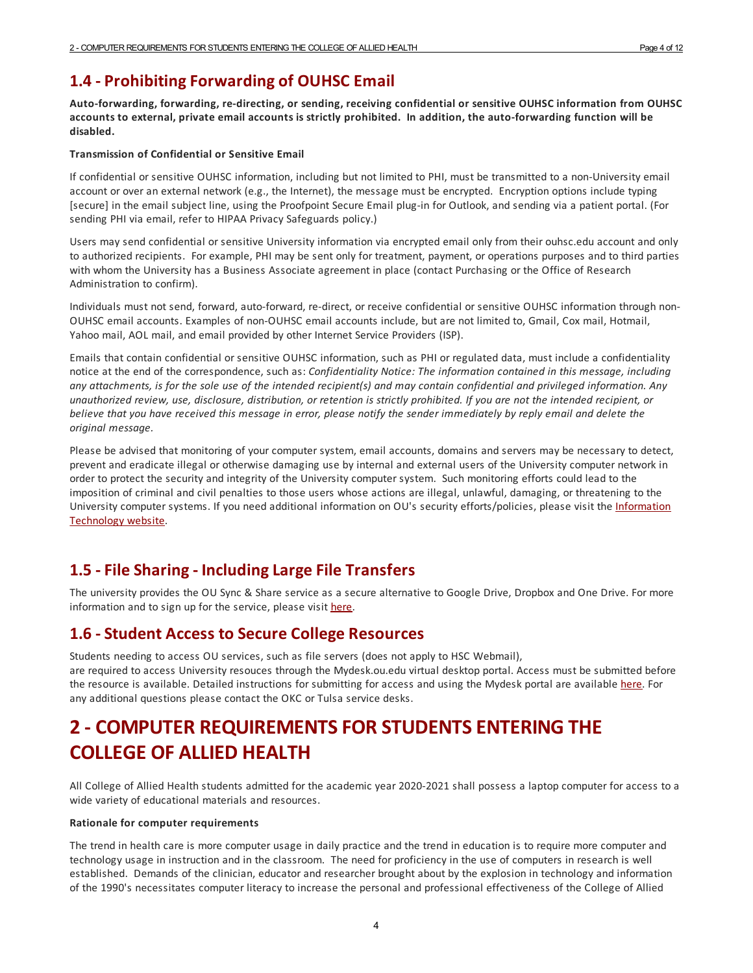## **1.4 - ProhibitingForwarding of OUHSC Email**

**Auto-forwarding, forwarding, re-directing, or sending, receiving confidential or sensitive OUHSC information from OUHSC** accounts to external, private email accounts is strictly prohibited. In addition, the auto-forwarding function will be **disabled.**

#### **Transmission of Confidential or Sensitive Email**

If confidential or sensitive OUHSC information, including but not limited to PHI, must be transmitted to a non-University email account or over an external network (e.g., the Internet), the message must be encrypted. Encryption options include typing [secure] in the email subject line, using the Proofpoint Secure Email plug-in for Outlook, and sending via a patient portal. (For sending PHI via email, refer to HIPAA Privacy Safeguards policy.)

Users may send confidential or sensitive University information via encrypted email only from their ouhsc.edu account and only to authorized recipients. For example, PHI may be sent only for treatment, payment, or operations purposes and to third parties with whom the University has a Business Associate agreement in place (contact Purchasing or the Office of Research Administration to confirm).

Individuals must not send, forward, auto-forward, re-direct, or receive confidential or sensitive OUHSC information through non-OUHSC email accounts. Examples of non-OUHSC email accounts include, but are not limited to, Gmail, Cox mail, Hotmail, Yahoo mail, AOL mail, and email provided by other Internet Service Providers (ISP).

Emails that contain confidential or sensitive OUHSC information, such as PHI or regulated data, must include a confidentiality notice at the end of the correspondence, such as: *Confidentiality Notice: The information contained in this message, including* any attachments, is for the sole use of the intended recipient(s) and may contain confidential and privileged information. Any unauthorized review, use, disclosure, distribution, or retention is strictly prohibited. If you are not the intended recipient, or believe that you have received this message in error, please notify the sender immediately by reply email and delete the *original message.*

Please be advised that monitoring of your computer system, email accounts, domains and servers may be necessary to detect, prevent and eradicate illegal or otherwise damaging use by internal and external users of the University computer network in order to protect the security and integrity of the University computer system. Such monitoring efforts could lead to the imposition of criminal and civil penalties to those users whose actions are illegal, unlawful, damaging, or threatening to the University computer systems. If you need additional information on OU's security efforts/policies, please visit the Information Technology website.

## **1.5 -File Sharing- IncludingLarge File Transfers**

The university provides the OU Sync & Share service as a secure alternative to Google Drive, Dropbox and One Drive. For more information and to sign up for the service, please visit here.

## **1.6 -Student Access to Secure College Resources**

Students needing to access OU services, such as file servers (does not apply to HSC Webmail), are required to access University resouces through the Mydesk.ou.edu virtual desktop portal. Access must be submitted before the resource is available. Detailed instructions for submitting for access and using the Mydesk portal are available here. For any additional questions please contact the OKC or Tulsa service desks.

# **2 - COMPUTER REQUIREMENTSFOR STUDENTSENTERING THE COLLEGE OF ALLIED HEALTH**

All College of Allied Health students admitted for the academic year 2020-2021 shall possess a laptop computer foraccess to a wide variety of educational materials and resources.

#### **Rationale for computer requirements**

The trend in health care is more computer usage in daily practice and the trend in education is to require more computerand technology usage in instruction and in the classroom. The need for proficiency in the use of computers in research is well established. Demands of the clinician, educator and researcher brought about by the explosion in technology and information of the 1990's necessitates computer literacy to increase the personal and professional effectiveness of the College of Allied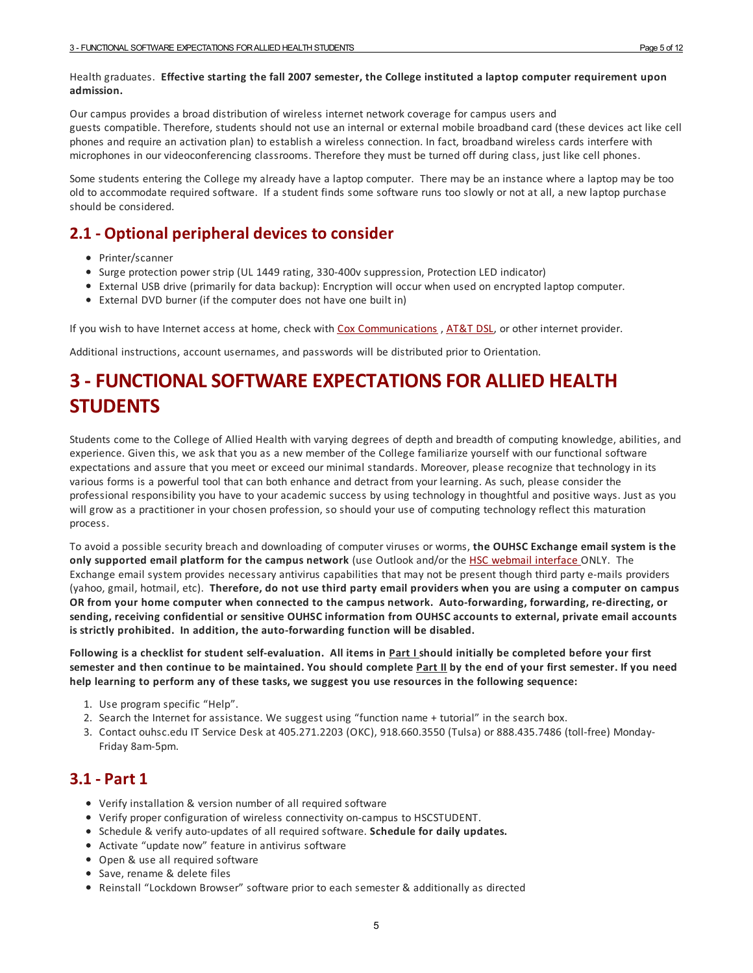#### Health graduates. **Effective starting the fall 2007 semester, the College instituted a laptop computer requirement upon admission.**

Our campus provides a broad distribution of wireless internet network coverage for campus users and guests compatible. Therefore, students should not use an internal or external mobile broadband card (these devices act like cell phones and require an activation plan) to establish a wireless connection. In fact, broadband wireless cards interfere with microphones in our videoconferencing classrooms. Therefore they must be turned off during class, just like cell phones.

Some students entering the College my already have a laptop computer. There may be an instance where a laptop may be too old to accommodate required software. If a student finds some software runs too slowly or not at all, a new laptop purchase should be considered.

## **2.1 - Optional peripheral devices to consider**

- Printer/scanner
- Surge protection power strip (UL 1449 rating, 330-400v suppression, Protection LED indicator)
- External USB drive (primarily for data backup): Encryption will occur when used on encrypted laptop computer.
- External DVD burner (if the computer does not have one built in)

If you wish to have Internet access at home, check with Cox Communications, AT&T DSL, or other internet provider.

Additional instructions, account usernames, and passwords will be distributed prior to Orientation.

# **3 -FUNCTIONALSOFTWAREEXPECTATIONSFOR ALLIED HEALTH STUDENTS**

Students come to the College of Allied Health with varying degrees of depth and breadth of computing knowledge, abilities, and experience. Given this, we ask that you as a new member of the College familiarize yourself with our functional software expectations and assure that you meet or exceed our minimal standards. Moreover, please recognize that technology in its various forms is a powerful tool that can both enhance and detract from your learning. As such, please consider the professional responsibility you have to your academic success by using technology in thoughtful and positive ways. Just as you will grow as a practitioner in your chosen profession, so should your use of computing technology reflect this maturation process.

To avoid a possible security breach and downloading of computer viruses or worms, **the OUHSC Exchange email system is the only supported email platform for the campus network** (use Outlook and/or the HSC webmail interface ONLY. The Exchange email system provides necessary antivirus capabilities that may not be present though third party e-mails providers (yahoo, gmail, hotmail, etc). Therefore, do not use third party email providers when you are using a computer on campus **OR from your home computer when connected to the campus network. Auto-forwarding, forwarding, re-directing, or sending, receiving confidential or sensitive OUHSC information from OUHSC accounts to external, private email accounts is strictly prohibited. In addition, the auto-forwarding function will be disabled.**

Following is a checklist for student self-evaluation. All items in Part I should initially be completed before your first semester and then continue to be maintained. You should complete Part II by the end of your first semester. If you need **help learning to perform any of these tasks, we suggest you use resources in the following sequence:**

- 1. Use program specific "Help".
- 2. Search the Internet for assistance. We suggest using "function name + tutorial" in the search box.
- 3. Contact ouhsc.edu IT Service Desk at 405.271.2203 (OKC), 918.660.3550 (Tulsa) or 888.435.7486 (toll-free) Monday-Friday 8am-5pm.

## **3.1 - Part 1**

- Verify installation & version number of all required software
- Verify proper configuration of wireless connectivity on-campus to HSCSTUDENT.
- Schedule & verify auto-updates of all required software. **Schedule for daily updates.**
- Activate "update now" feature in antivirus software
- Open & use all required software
- Save, rename & delete files
- Reinstall "Lockdown Browser" software prior to each semester & additionally as directed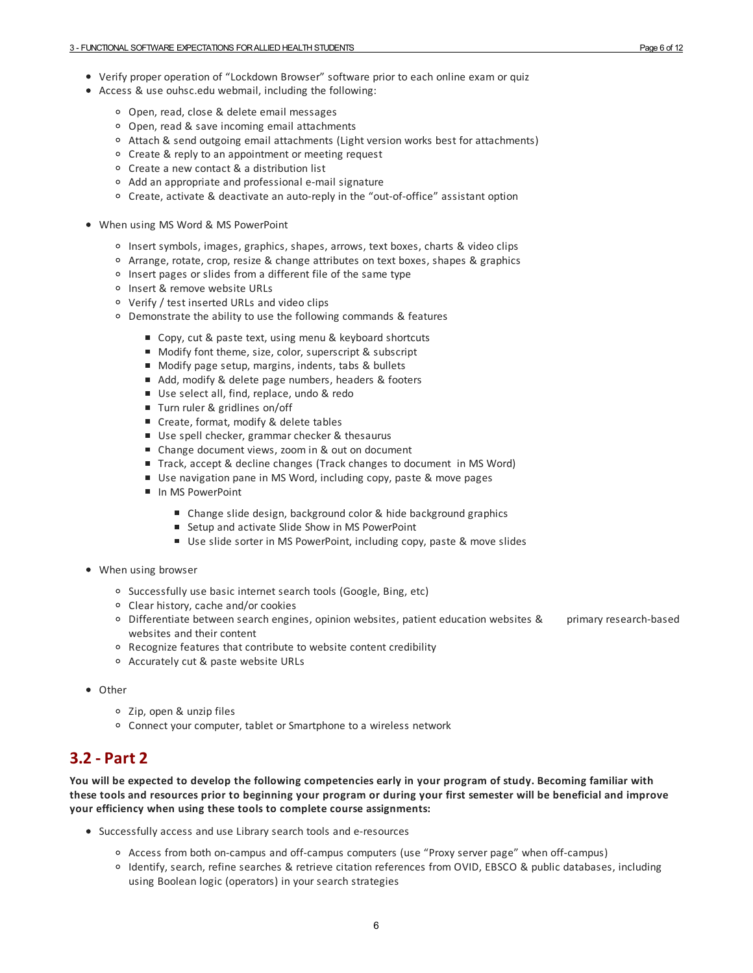- Verify proper operation of "Lockdown Browser" software prior to each online exam or quiz
- Access & use ouhsc.edu webmail, including the following:
	- Open, read, close & delete email messages
	- Open, read & save incoming email attachments
	- Attach & send outgoing email attachments (Light version works best forattachments)
	- Create & reply to an appointment or meeting request
	- Create a new contact & a distribution list
	- Add an appropriate and professional e-mail signature
	- Create, activate & deactivate an auto-reply in the "out-of-office" assistant option
- When using MS Word & MS PowerPoint
	- Insert symbols, images, graphics, shapes, arrows, text boxes, charts & video clips
	- Arrange, rotate, crop, resize & change attributes on text boxes, shapes & graphics
	- $\circ$  Insert pages or slides from a different file of the same type
	- o Insert & remove website URLs
	- Verify / test inserted URLs and video clips
	- Demonstrate the ability to use the following commands & features
		- Copy, cut & paste text, using menu & keyboard shortcuts
		- Modify font theme, size, color, superscript & subscript
		- Modify page setup, margins, indents, tabs & bullets
		- Add, modify & delete page numbers, headers & footers
		- Use select all, find, replace, undo & redo
		- Turn ruler & gridlines on/off
		- Create, format, modify & delete tables
		- Use spell checker, grammar checker & thesaurus
		- Change document views, zoom in & out on document
		- Track, accept & decline changes (Track changes to document in MS Word)
		- Use navigation pane in MS Word, including copy, paste & move pages
		- In MS PowerPoint
			- Change slide design, background color & hide background graphics
			- Setup and activate Slide Show in MS PowerPoint
			- Use slide sorter in MS PowerPoint, including copy, paste & move slides
- When using browser
	- <sup>o</sup> Successfully use basic internet search tools (Google, Bing, etc)
	- Clear history, cache and/or cookies
	- Differentiate between search engines, opinion websites, patient education websites & primary research-based websites and their content
	- Recognize features that contribute to website content credibility
	- Accurately cut & paste website URLs
- Other
	- Zip, open & unzip files
	- Connect your computer, tablet or Smartphone to a wireless network

## **3.2 - Part 2**

You will be expected to develop the following competencies early in your program of study. Becoming familiar with these tools and resources prior to beginning your program or during your first semester will be beneficial and improve **your efficiency when using these tools to complete course assignments:**

- Successfully access and use Library search tools and e-resources
	- Access from both on-campus and off-campus computers (use "Proxy server page" when off-campus)
	- <sup>o</sup> Identify, search, refine searches & retrieve citation references from OVID, EBSCO & public databases, including using Boolean logic (operators) in your search strategies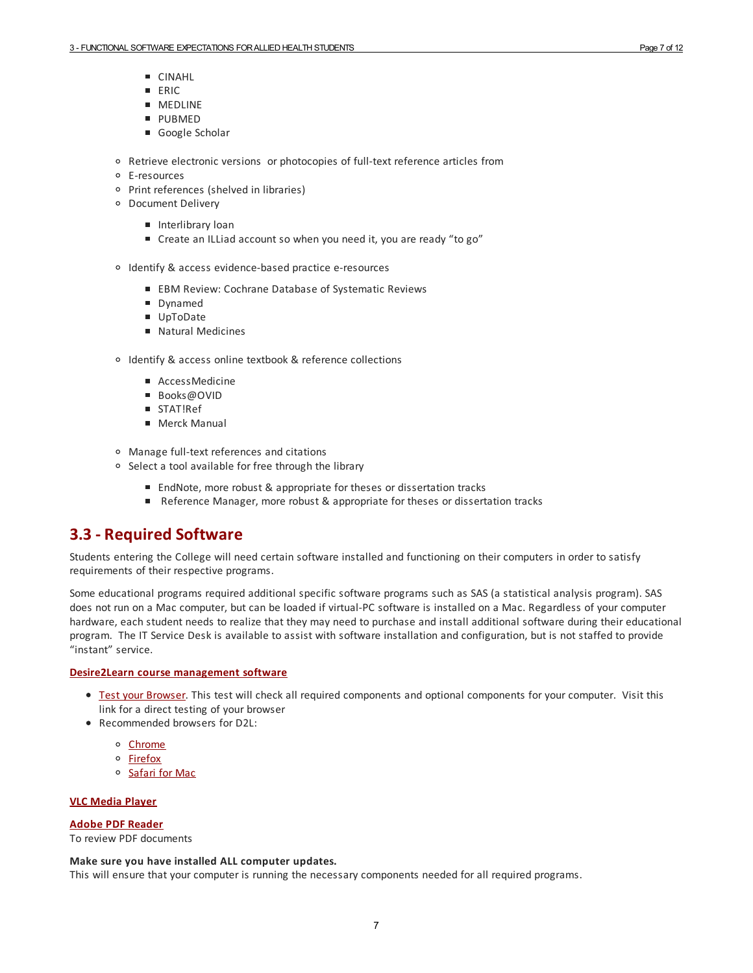- CINAHL
- **ERIC**
- **MEDLINE**
- **PUBMED**
- Google Scholar
- Retrieve electronic versions or photocopies of full-text reference articles from
- E-resources
- Print references (shelved in libraries)
- Document Delivery
	- **Interlibrary loan**
	- Create an ILLiad account so when you need it, you are ready "to go"
- o Identify & access evidence-based practice e-resources
	- EBM Review: Cochrane Database of Systematic Reviews
	- Dynamed
	- UpToDate
	- Natural Medicines
- o Identify & access online textbook & reference collections
	- AccessMedicine
	- Books@OVID
	- **STAT!Ref**
	- Merck Manual
- Manage full-text references and citations
- <sup>o</sup> Select a tool available for free through the library
	- EndNote, more robust & appropriate for theses or dissertation tracks
	- Reference Manager, more robust & appropriate for theses or dissertation tracks

## **3.3 - Required Software**

Students entering the College will need certain software installed and functioning on their computers in order to satisfy requirements of their respective programs.

Some educational programs required additional specific software programs such as SAS (a statistical analysis program). SAS does not run on a Mac computer, but can be loaded if virtual-PC software is installed on a Mac. Regardless of your computer hardware, each student needs to realize that they may need to purchase and install additional software during their educational program. The IT Service Desk is available to assist with software installation and configuration, but is not staffed to provide "instant" service.

#### **Desire2Learn course management software**

- **Test your Browser**. This test will check all required components and optional components for your computer. Visit this link fora direct testing of your browser
- Recommended browsers for D2L:
	- o Chrome
	- Firefox
	- o Safari for Mac

#### **VLC Media Player**

#### **Adobe PDF Reader**

To review PDF documents

#### **Make sure you have installed ALL computer updates.**

This will ensure that your computer is running the necessary components needed forall required programs.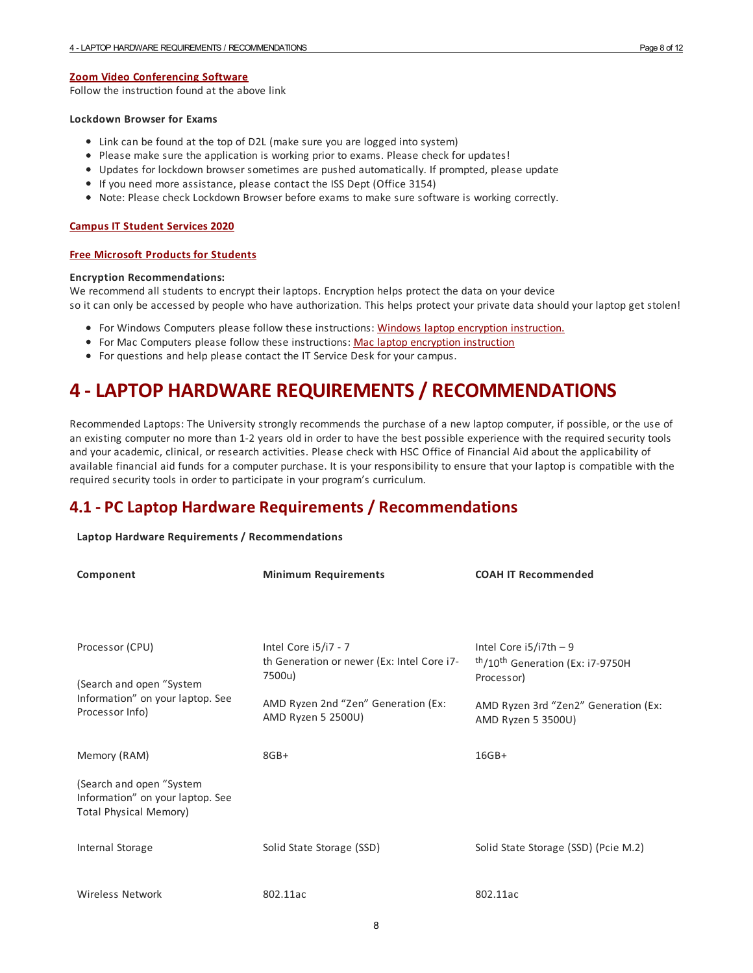#### **Zoom Video Conferencing Software**

Follow the instruction found at the above link

#### **Lockdown Browser for Exams**

- Link can be found at the top of D2L (make sure you are logged into system)
- Please make sure the application is working prior to exams. Please check for updates!
- Updates for lockdown browser sometimes are pushed automatically. If prompted, please update
- If you need more assistance, please contact the ISS Dept (Office 3154)
- Note: Please check Lockdown Browser before exams to make sure software is working correctly.

#### **Campus IT Student Services 2020**

#### **Free Microsoft Products for Students**

#### **Encryption Recommendations:**

We recommend all students to encrypt their laptops. Encryption helps protect the data on your device so it can only be accessed by people who have authorization. This helps protect your private data should your laptop get stolen!

- For Windows Computers please follow these instructions: Windows laptop encryption instruction.
- For Mac Computers please follow these instructions: Mac laptop encryption instruction
- For questions and help please contact the IT Service Desk for your campus.

# **4 - LAPTOP HARDWARE REQUIREMENTS/ RECOMMENDATIONS**

Recommended Laptops: The University strongly recommends the purchase of a new laptop computer, if possible, or the use of an existing computer no more than 1-2 years old in order to have the best possible experience with the required security tools and your academic, clinical, or research activities. Please check with HSC Office of Financial Aid about the applicability of available financial aid funds fora computer purchase. It is your responsibility to ensure that your laptop is compatible with the required security tools in order to participate in your program's curriculum.

## **4.1 - PC Laptop Hardware Requirements / Recommendations**

#### **Laptop Hardware Requirements / Recommendations**

| Component                                                                                     | <b>Minimum Requirements</b>                                                  | <b>COAH IT Recommended</b>                                                           |
|-----------------------------------------------------------------------------------------------|------------------------------------------------------------------------------|--------------------------------------------------------------------------------------|
|                                                                                               |                                                                              |                                                                                      |
|                                                                                               |                                                                              |                                                                                      |
| Processor (CPU)                                                                               | Intel Core i5/i7 - 7<br>th Generation or newer (Ex: Intel Core i7-<br>7500u) | Intel Core $i5/i7th - 9$<br><sup>th</sup> /10 <sup>th</sup> Generation (Ex: i7-9750H |
| (Search and open "System<br>Information" on your laptop. See                                  |                                                                              | Processor)                                                                           |
| Processor Info)                                                                               | AMD Ryzen 2nd "Zen" Generation (Ex:<br>AMD Ryzen 5 2500U)                    | AMD Ryzen 3rd "Zen2" Generation (Ex:<br>AMD Ryzen 5 3500U)                           |
| Memory (RAM)                                                                                  | $8GB+$                                                                       | $16GB+$                                                                              |
| (Search and open "System<br>Information" on your laptop. See<br><b>Total Physical Memory)</b> |                                                                              |                                                                                      |
| Internal Storage                                                                              | Solid State Storage (SSD)                                                    | Solid State Storage (SSD) (Pcie M.2)                                                 |
| Wireless Network                                                                              | 802.11ac                                                                     | 802.11ac                                                                             |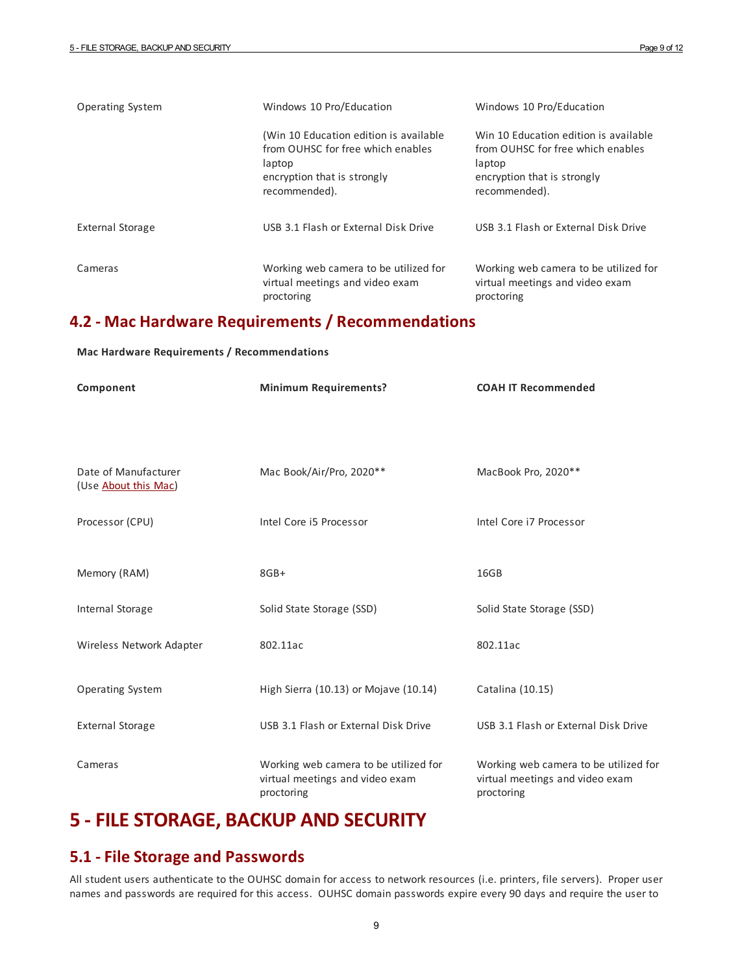| <b>Operating System</b> | Windows 10 Pro/Education                                                                                                              | Windows 10 Pro/Education                                                                                                             |
|-------------------------|---------------------------------------------------------------------------------------------------------------------------------------|--------------------------------------------------------------------------------------------------------------------------------------|
|                         | (Win 10 Education edition is available<br>from OUHSC for free which enables<br>laptop<br>encryption that is strongly<br>recommended). | Win 10 Education edition is available<br>from OUHSC for free which enables<br>laptop<br>encryption that is strongly<br>recommended). |
| <b>External Storage</b> | USB 3.1 Flash or External Disk Drive                                                                                                  | USB 3.1 Flash or External Disk Drive                                                                                                 |
| Cameras                 | Working web camera to be utilized for<br>virtual meetings and video exam<br>proctoring                                                | Working web camera to be utilized for<br>virtual meetings and video exam<br>proctoring                                               |

## **4.2 - Mac Hardware Requirements / Recommendations**

**Mac Hardware Requirements / Recommendations**

| Component                                    | <b>Minimum Requirements?</b>                                                           | <b>COAH IT Recommended</b>                                                             |
|----------------------------------------------|----------------------------------------------------------------------------------------|----------------------------------------------------------------------------------------|
|                                              |                                                                                        |                                                                                        |
| Date of Manufacturer<br>(Use About this Mac) | Mac Book/Air/Pro, 2020**                                                               | MacBook Pro, 2020**                                                                    |
| Processor (CPU)                              | Intel Core i5 Processor                                                                | Intel Core i7 Processor                                                                |
| Memory (RAM)                                 | $8GB+$                                                                                 | 16GB                                                                                   |
| Internal Storage                             | Solid State Storage (SSD)                                                              | Solid State Storage (SSD)                                                              |
| Wireless Network Adapter                     | 802.11ac                                                                               | 802.11ac                                                                               |
| <b>Operating System</b>                      | High Sierra (10.13) or Mojave (10.14)                                                  | Catalina (10.15)                                                                       |
| <b>External Storage</b>                      | USB 3.1 Flash or External Disk Drive                                                   | USB 3.1 Flash or External Disk Drive                                                   |
| Cameras                                      | Working web camera to be utilized for<br>virtual meetings and video exam<br>proctoring | Working web camera to be utilized for<br>virtual meetings and video exam<br>proctoring |

# **5 -FILESTORAGE, BACKUP AND SECURITY**

## **5.1 -File Storage and Passwords**

All student users authenticate to the OUHSC domain foraccess to network resources (i.e. printers, file servers). Proper user names and passwords are required for this access. OUHSC domain passwords expire every 90 days and require the user to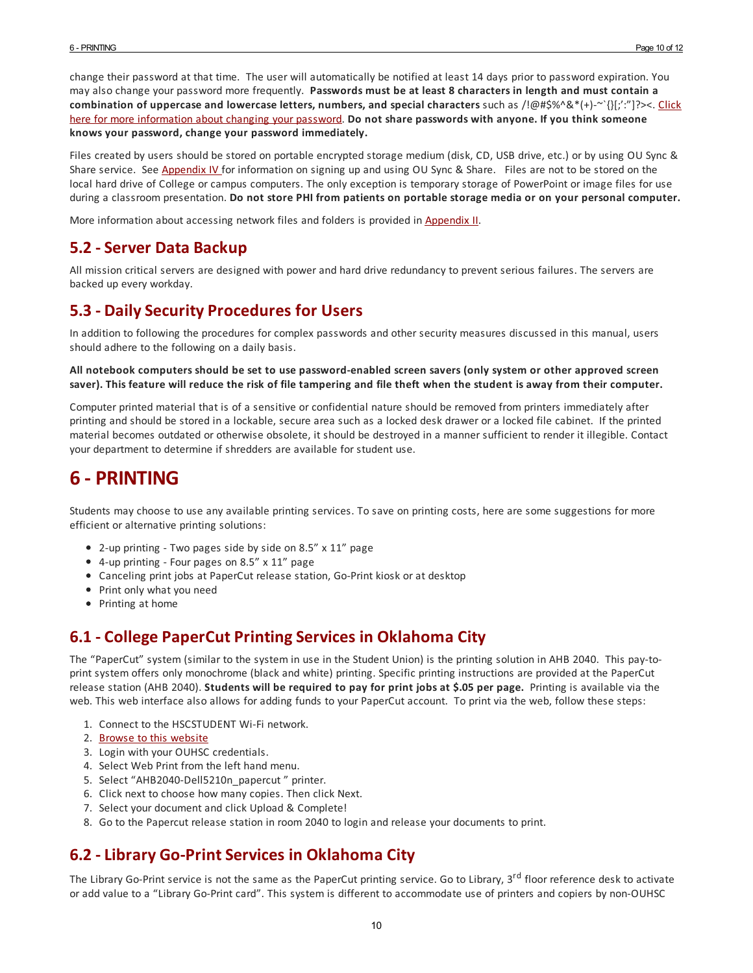change their password at that time. The user will automatically be notified at least 14 days prior to password expiration. You may also change your password more frequently. **Passwords must be at least 8 characters in length and must contain a combination of uppercase and lowercase letters, numbers, and special characters** such as /!@#\$%^&\*(+)-~`{}[;':"]?><. Click here for more information about changing your password. **Do not share passwords with anyone. If you think someone knows your password, change your password immediately.**

Files created by users should be stored on portable encrypted storage medium (disk, CD, USB drive, etc.) or by using OU Sync & Share service. See Appendix IV for information on signing up and using OU Sync & Share. Files are not to be stored on the local hard drive of College or campus computers. The only exception is temporary storage of PowerPoint or image files for use during a classroom presentation. **Do not store PHI from patients on portable storage media or on your personal computer.**

More information about accessing network files and folders is provided in Appendix II.

## **5.2 -Server Data Backup**

All mission critical servers are designed with powerand hard drive redundancy to prevent serious failures. The servers are backed up every workday.

## **5.3 - DailySecurity Procedures for Users**

In addition to following the procedures for complex passwords and other security measures discussed in this manual, users should adhere to the following on a daily basis.

#### All notebook computers should be set to use password-enabled screen savers (only system or other approved screen saver). This feature will reduce the risk of file tampering and file theft when the student is away from their computer.

Computer printed material that is of a sensitive or confidential nature should be removed from printers immediately after printing and should be stored in a lockable, secure area such as a locked desk drawer ora locked file cabinet. If the printed material becomes outdated or otherwise obsolete, it should be destroyed in a manner sufficient to render it illegible. Contact your department to determine if shredders are available for student use.

# **6 - PRINTING**

Students may choose to use any available printing services. To save on printing costs, here are some suggestions for more efficient or alternative printing solutions:

- 2-up printing Two pages side by side on 8.5" x 11" page
- 4-up printing Four pages on 8.5" x 11" page
- Canceling print jobs at PaperCut release station, Go-Print kiosk or at desktop
- Print only what you need
- Printing at home

## **6.1 - College PaperCut PrintingServices in Oklahoma City**

The "PaperCut" system (similar to the system in use in the Student Union) is the printing solution in AHB 2040. This pay-toprint system offers only monochrome (black and white) printing. Specific printing instructions are provided at the PaperCut release station (AHB 2040). **Students will be required to pay for print jobs at \$.05 per page.** Printing is available via the web. This web interface also allows foradding funds to your PaperCut account. To print via the web, follow these steps:

- 1. Connect to the HSCSTUDENT Wi-Fi network.
- 2. Browse to this website
- 3. Login with your OUHSC credentials.
- 4. Select Web Print from the left hand menu.
- 5. Select "AHB2040-Dell5210n\_papercut " printer.
- 6. Click next to choose how many copies. Then click Next.
- 7. Select your document and click Upload & Complete!
- 8. Go to the Papercut release station in room 2040 to login and release your documents to print.

## **6.2 -Library Go-PrintServices in Oklahoma City**

The Library Go-Print service is not the same as the PaperCut printing service. Go to Library, 3<sup>rd</sup> floor reference desk to activate oradd value to a "Library Go-Print card". This system is different to accommodate use of printers and copiers by non-OUHSC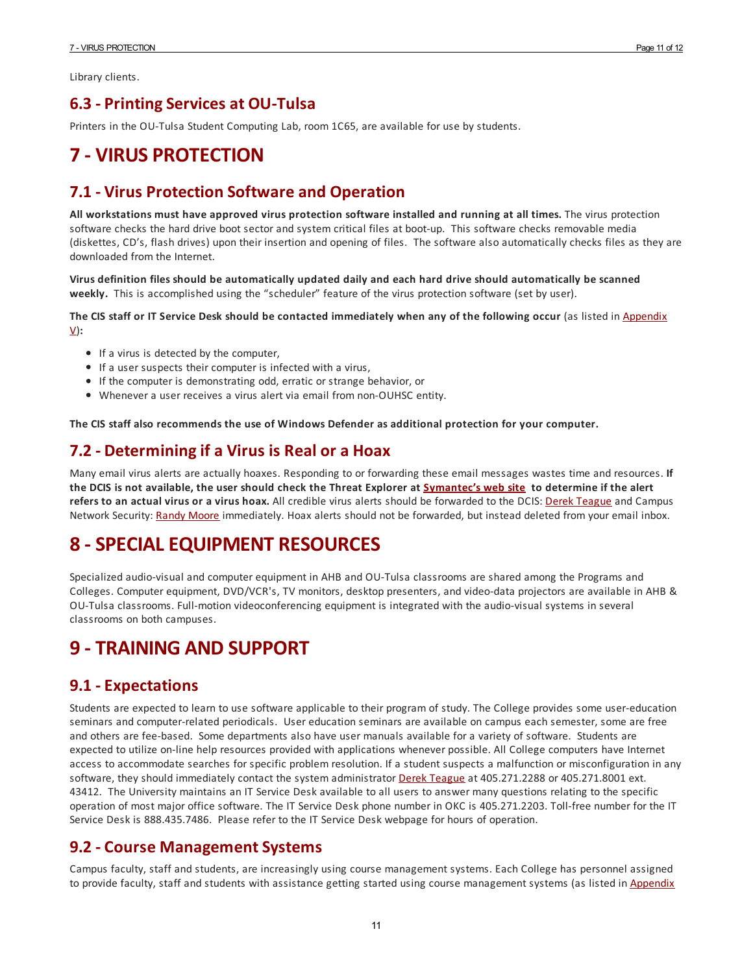Library clients.

## **6.3 - PrintingServices at OU-Tulsa**

Printers in the OU-Tulsa Student Computing Lab, room 1C65, are available for use by students.

# **7 - VIRUS PROTECTION**

## **7.1 - Virus Protection Software and Operation**

**All workstations must have approved virus protection software installed and running at all times.** The virus protection software checks the hard drive boot sectorand system critical files at boot-up. This software checks removable media (diskettes, CD's, flash drives) upon their insertion and opening of files. The software also automatically checks files as they are downloaded from the Internet.

**Virus definition files should be automatically updated daily and each hard drive should automatically be scanned weekly.** This is accomplished using the "scheduler" feature of the virus protection software (set by user).

The CIS staff or IT Service Desk should be contacted immediately when any of the following occur (as listed in Appendix V)**:**

- If a virus is detected by the computer,
- If a user suspects their computer is infected with a virus,
- If the computer is demonstrating odd, erratic or strange behavior, or
- Whenevera user receives a virus alert via email from non-OUHSC entity.

**The CIS staff also recommends the use of Windows Defender as additional protection for your computer.**

## **7.2 - Determiningif a Virus is Real or a Hoax**

Many email virus alerts are actually hoaxes. Responding to or forwarding these email messages wastes time and resources. **If** the DCIS is not available, the user should check the Threat Explorer at Symantec's web site to determine if the alert **refers to an actual virus or a virus hoax.** All credible virus alerts should be forwarded to the DCIS: Derek Teague and Campus Network Security: Randy Moore immediately. Hoax alerts should not be forwarded, but instead deleted from your email inbox.

# **8 -SPECIALEQUIPMENT RESOURCES**

Specialized audio-visual and computer equipment in AHB and OU-Tulsa classrooms are shared among the Programs and Colleges. Computer equipment, DVD/VCR's, TV monitors, desktop presenters, and video-data projectors are available in AHB & OU-Tulsa classrooms. Full-motion videoconferencing equipment is integrated with the audio-visual systems in several classrooms on both campuses.

# **9 - TRAINING AND SUPPORT**

## **9.1 -Expectations**

Students are expected to learn to use software applicable to their program of study. The College provides some user-education seminars and computer-related periodicals. User education seminars are available on campus each semester, some are free and others are fee-based. Some departments also have user manuals available fora variety of software. Students are expected to utilize on-line help resources provided with applications whenever possible. All College computers have Internet access to accommodate searches for specific problem resolution. If a student suspects a malfunction or misconfiguration in any software, they should immediately contact the system administrator Derek Teague at 405.271.2288 or 405.271.8001 ext. 43412. The University maintains an IT Service Desk available to all users to answer many questions relating to the specific operation of most major office software. The IT Service Desk phone number in OKC is 405.271.2203. Toll-free number for the IT Service Desk is 888.435.7486. Please refer to the IT Service Desk webpage for hours of operation.

## **9.2 - Course ManagementSystems**

Campus faculty, staff and students, are increasingly using course management systems. Each College has personnel assigned to provide faculty, staff and students with assistance getting started using course management systems (as listed in Appendix